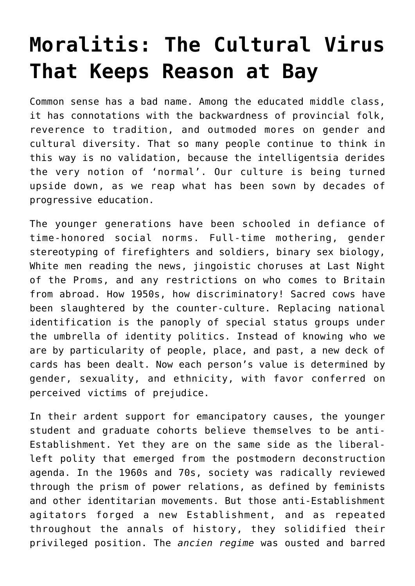## **[Moralitis: The Cultural Virus](https://intellectualtakeout.org/2018/12/moralitis-the-cultural-virus-that-keeps-reason-at-bay/) [That Keeps Reason at Bay](https://intellectualtakeout.org/2018/12/moralitis-the-cultural-virus-that-keeps-reason-at-bay/)**

Common sense has a bad name. Among the educated middle class, it has connotations with the backwardness of provincial folk, reverence to tradition, and outmoded mores on gender and cultural diversity. That so many people continue to think in this way is no validation, because the intelligentsia derides the very notion of 'normal'. Our culture is being turned upside down, as we reap what has been sown by decades of progressive education.

The younger generations have been schooled in defiance of time-honored social norms. Full-time mothering, gender stereotyping of firefighters and soldiers, binary sex biology, White men reading the news, jingoistic choruses at Last Night of the Proms, and any restrictions on who comes to Britain from abroad. How 1950s, how discriminatory! Sacred cows have been slaughtered by the counter-culture. Replacing national identification is the panoply of special status groups under the umbrella of identity politics. Instead of knowing who we are by particularity of people, place, and past, a new deck of cards has been dealt. Now each person's value is determined by gender, sexuality, and ethnicity, with favor conferred on perceived victims of prejudice.

In their ardent support for emancipatory causes, the younger student and graduate cohorts believe themselves to be anti-Establishment. Yet they are on the same side as the liberalleft polity that emerged from the postmodern deconstruction agenda. In the 1960s and 70s, society was radically reviewed through the prism of power relations, as defined by feminists and other identitarian movements. But those anti-Establishment agitators forged a new Establishment, and as repeated throughout the annals of history, they solidified their privileged position. The *ancien regime* was ousted and barred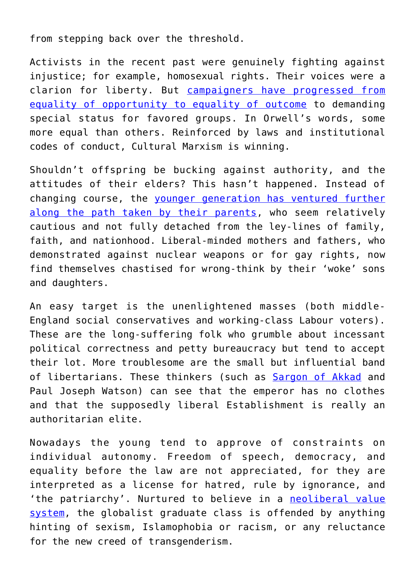from stepping back over the threshold.

Activists in the recent past were genuinely fighting against injustice; for example, homosexual rights. Their voices were a clarion for liberty. But [campaigners have progressed from](https://republicstandard.com/equality-lie-men-women-everything-between/) [equality of opportunity to equality of outcome](https://republicstandard.com/equality-lie-men-women-everything-between/) to demanding special status for favored groups. In Orwell's words, some more equal than others. Reinforced by laws and institutional codes of conduct, Cultural Marxism is winning.

Shouldn't offspring be bucking against authority, and the attitudes of their elders? This hasn't happened. Instead of changing course, the [younger generation has ventured further](https://republicstandard.com/liberty-authority-gun-grabbing-left/) [along the path taken by their parents,](https://republicstandard.com/liberty-authority-gun-grabbing-left/) who seem relatively cautious and not fully detached from the ley-lines of family, faith, and nationhood. Liberal-minded mothers and fathers, who demonstrated against nuclear weapons or for gay rights, now find themselves chastised for wrong-think by their 'woke' sons and daughters.

An easy target is the unenlightened masses (both middle-England social conservatives and working-class Labour voters). These are the long-suffering folk who grumble about incessant political correctness and petty bureaucracy but tend to accept their lot. More troublesome are the small but influential band of libertarians. These thinkers (such as [Sargon of Akkad](https://republicstandard.com/communist-antifa-thugs-attack-liberal-youtuber-sargon/) and Paul Joseph Watson) can see that the emperor has no clothes and that the supposedly liberal Establishment is really an authoritarian elite.

Nowadays the young tend to approve of constraints on individual autonomy. Freedom of speech, democracy, and equality before the law are not appreciated, for they are interpreted as a license for hatred, rule by ignorance, and 'the patriarchy'. Nurtured to believe in a [neoliberal value](https://republicstandard.com/liberal-nationalism-hypocrisy-hascha-mounk/) [system,](https://republicstandard.com/liberal-nationalism-hypocrisy-hascha-mounk/) the globalist graduate class is offended by anything hinting of sexism, Islamophobia or racism, or any reluctance for the new creed of transgenderism.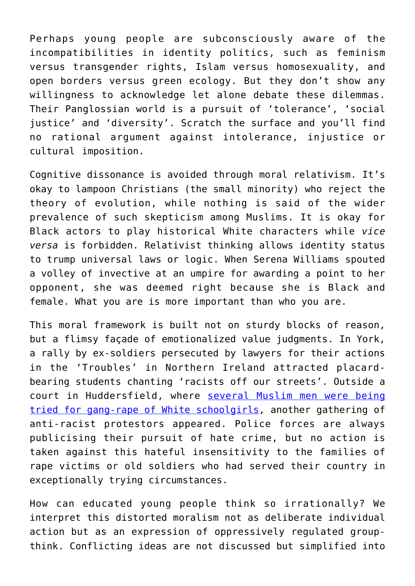Perhaps young people are subconsciously aware of the incompatibilities in identity politics, such as feminism versus transgender rights, Islam versus homosexuality, and open borders versus green ecology. But they don't show any willingness to acknowledge let alone debate these dilemmas. Their Panglossian world is a pursuit of 'tolerance', 'social justice' and 'diversity'. Scratch the surface and you'll find no rational argument against intolerance, injustice or cultural imposition.

Cognitive dissonance is avoided through moral relativism. It's okay to lampoon Christians (the small minority) who reject the theory of evolution, while nothing is said of the wider prevalence of such skepticism among Muslims. It is okay for Black actors to play historical White characters while *vice versa* is forbidden. Relativist thinking allows identity status to trump universal laws or logic. When Serena Williams spouted a volley of invective at an umpire for awarding a point to her opponent, she was deemed right because she is Black and female. What you are is more important than who you are.

This moral framework is built not on sturdy blocks of reason, but a flimsy façade of emotionalized value judgments. In York, a rally by ex-soldiers persecuted by lawyers for their actions in the 'Troubles' in Northern Ireland attracted placardbearing students chanting 'racists off our streets'. Outside a court in Huddersfield, where [several Muslim men were being](https://republicstandard.com/hate-crime-muslim-rape-gang/) [tried for gang-rape of White schoolgirls,](https://republicstandard.com/hate-crime-muslim-rape-gang/) another gathering of anti-racist protestors appeared. Police forces are always publicising their pursuit of hate crime, but no action is taken against this hateful insensitivity to the families of rape victims or old soldiers who had served their country in exceptionally trying circumstances.

How can educated young people think so irrationally? We interpret this distorted moralism not as deliberate individual action but as an expression of oppressively regulated groupthink. Conflicting ideas are not discussed but simplified into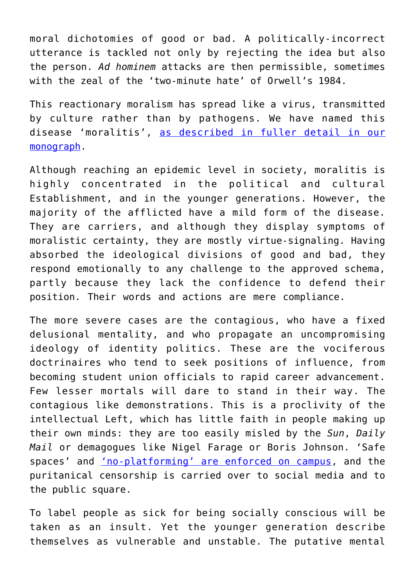moral dichotomies of good or bad. A politically-incorrect utterance is tackled not only by rejecting the idea but also the person. *Ad hominem* attacks are then permissible, sometimes with the zeal of the 'two-minute hate' of Orwell's 1984.

This reactionary moralism has spread like a virus, transmitted by culture rather than by pathogens. We have named this disease 'moralitis', [as described in fuller detail in our](http://www.brugesgroup.com/blog/moralitis-a-cultural-virus-political-correctness) [monograph.](http://www.brugesgroup.com/blog/moralitis-a-cultural-virus-political-correctness)

Although reaching an epidemic level in society, moralitis is highly concentrated in the political and cultural Establishment, and in the younger generations. However, the majority of the afflicted have a mild form of the disease. They are carriers, and although they display symptoms of moralistic certainty, they are mostly virtue-signaling. Having absorbed the ideological divisions of good and bad, they respond emotionally to any challenge to the approved schema, partly because they lack the confidence to defend their position. Their words and actions are mere compliance.

The more severe cases are the contagious, who have a fixed delusional mentality, and who propagate an uncompromising ideology of identity politics. These are the vociferous doctrinaires who tend to seek positions of influence, from becoming student union officials to rapid career advancement. Few lesser mortals will dare to stand in their way. The contagious like demonstrations. This is a proclivity of the intellectual Left, which has little faith in people making up their own minds: they are too easily misled by the *Sun*, *Daily Mail* or demagogues like Nigel Farage or Boris Johnson. 'Safe spaces' and ['no-platforming' are enforced on campus,](https://republicstandard.com/reflections-london-conference-intelligence/) and the puritanical censorship is carried over to social media and to the public square.

To label people as sick for being socially conscious will be taken as an insult. Yet the younger generation describe themselves as vulnerable and unstable. The putative mental